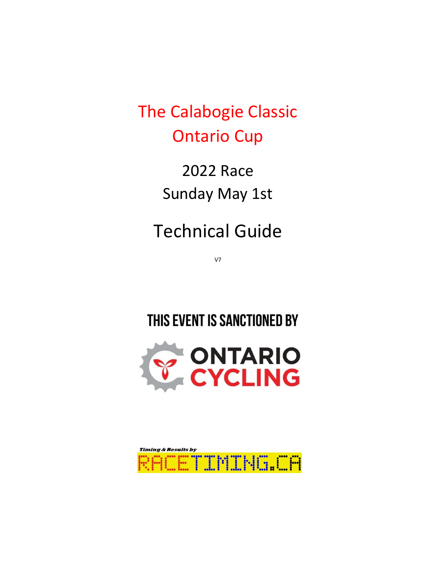The Calabogie Classic Ontario Cup

> 2022 Race Sunday May 1st

Technical Guide

V7

# THIS EVENT IS SANCTIONED BY



| <b>Timing &amp; Results by</b> |                   |  |
|--------------------------------|-------------------|--|
|                                | <b>THUNG HALL</b> |  |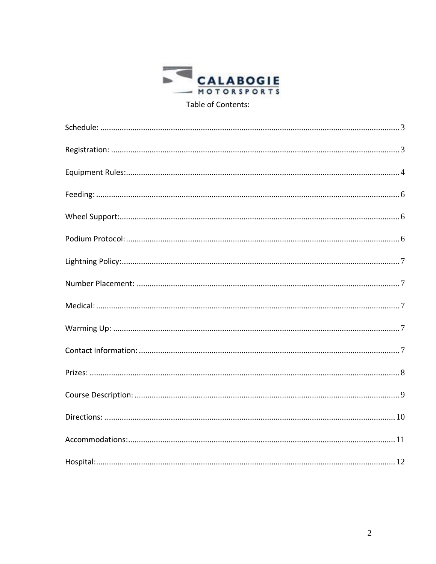

Table of Contents: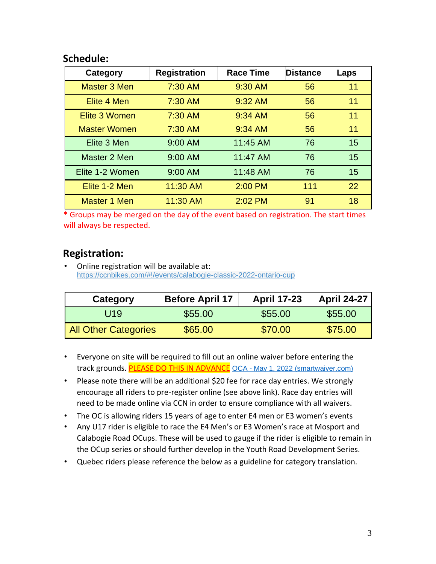### <span id="page-2-0"></span>**Schedule:**

| Category            | <b>Registration</b> | <b>Race Time</b> | <b>Distance</b> | Laps |
|---------------------|---------------------|------------------|-----------------|------|
| Master 3 Men        | 7:30 AM             | 9:30 AM          | 56              | 11   |
| Elite 4 Men         | 7:30 AM             | 9:32 AM          | 56              | 11   |
| Elite 3 Women       | 7:30 AM             | 9:34 AM          | 56              | 11   |
| <b>Master Women</b> | 7:30 AM             | 9:34 AM          | 56              | 11   |
| Elite 3 Men         | $9:00$ AM           | 11:45 AM         | 76              | 15   |
| Master 2 Men        | $9:00$ AM           | 11:47 AM         | 76              | 15   |
| Elite 1-2 Women     | 9:00 AM             | 11:48 AM         | 76              | 15   |
| Elite 1-2 Men       | 11:30 AM            | 2:00 PM          | 111             | 22   |
| Master 1 Men        | 11:30 AM            | $2:02$ PM        | 91              | 18   |

**\*** Groups may be merged on the day of the event based on registration. The start times will always be respected.

### <span id="page-2-1"></span>**Registration:**

• Online registration will be available at: https://ccnbikes.com/#!/events/calabogie-classic-2022-ontario-cup

| Category                    | <b>Before April 17</b> | <b>April 17-23</b> | <b>April 24-27</b> |
|-----------------------------|------------------------|--------------------|--------------------|
| U <sub>19</sub>             | \$55.00                | \$55.00            | \$55.00            |
| <b>All Other Categories</b> | \$65.00                | \$70.00            | \$75.00            |

- Everyone on site will be required to fill out an online waiver before entering the track grounds. PLEASE DO THIS IN ADVANCE OCA - [May 1, 2022 \(smartwaiver.com\)](https://waiver.smartwaiver.com/w/jd2offxpepwihiguxyuqk2/web/)
- Please note there will be an additional \$20 fee for race day entries. We strongly encourage all riders to pre-register online (see above link). Race day entries will need to be made online via CCN in order to ensure compliance with all waivers.
- The OC is allowing riders 15 years of age to enter E4 men or E3 women's events
- Any U17 rider is eligible to race the E4 Men's or E3 Women's race at Mosport and Calabogie Road OCups. These will be used to gauge if the rider is eligible to remain in the OCup series or should further develop in the Youth Road Development Series.
- Quebec riders please reference the below as a guideline for category translation.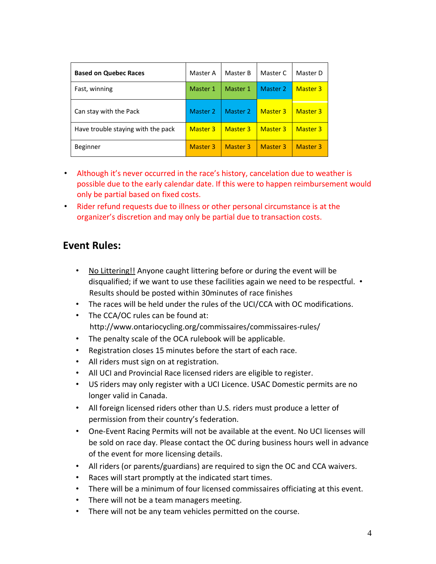| <b>Based on Quebec Races</b>       | Master A        | Master B | Master C        | Master D        |
|------------------------------------|-----------------|----------|-----------------|-----------------|
| Fast, winning                      | Master 1        | Master 1 | Master 2        | <b>Master 3</b> |
| Can stay with the Pack             | Master 2        | Master 2 | <b>Master 3</b> | <b>Master 3</b> |
| Have trouble staying with the pack | <b>Master 3</b> | Master 3 | <b>Master 3</b> | <b>Master 3</b> |
| <b>Beginner</b>                    | <b>Master 3</b> | Master 3 | Master 3        | <b>Master 3</b> |

- Although it's never occurred in the race's history, cancelation due to weather is possible due to the early calendar date. If this were to happen reimbursement would only be partial based on fixed costs.
- Rider refund requests due to illness or other personal circumstance is at the organizer's discretion and may only be partial due to transaction costs.

### <span id="page-3-0"></span>**Event Rules:**

- No Littering!! Anyone caught littering before or during the event will be disqualified; if we want to use these facilities again we need to be respectful. • Results should be posted within 30minutes of race finishes
- The races will be held under the rules of the UCI/CCA with OC modifications.
- The CCA/OC rules can be found at: http://www.ontariocycling.org/commissaires/commissaires-rules/
- The penalty scale of the OCA rulebook will be applicable.
- Registration closes 15 minutes before the start of each race.
- All riders must sign on at registration.
- All UCI and Provincial Race licensed riders are eligible to register.
- US riders may only register with a UCI Licence. USAC Domestic permits are no longer valid in Canada.
- All foreign licensed riders other than U.S. riders must produce a letter of permission from their country's federation.
- One-Event Racing Permits will not be available at the event. No UCI licenses will be sold on race day. Please contact the OC during business hours well in advance of the event for more licensing details.
- All riders (or parents/guardians) are required to sign the OC and CCA waivers.
- Races will start promptly at the indicated start times.
- There will be a minimum of four licensed commissaires officiating at this event.
- There will not be a team managers meeting.
- There will not be any team vehicles permitted on the course.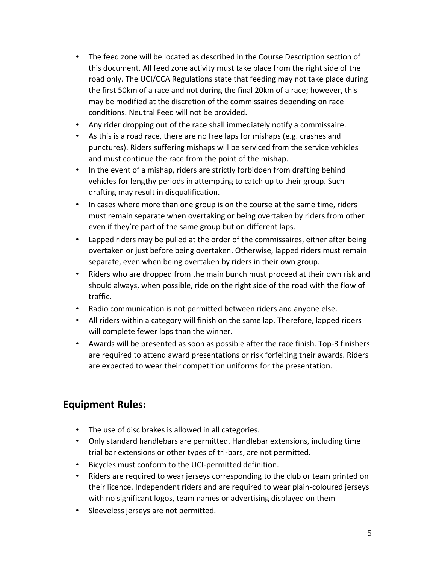- The feed zone will be located as described in the Course Description section of this document. All feed zone activity must take place from the right side of the road only. The UCI/CCA Regulations state that feeding may not take place during the first 50km of a race and not during the final 20km of a race; however, this may be modified at the discretion of the commissaires depending on race conditions. Neutral Feed will not be provided.
- Any rider dropping out of the race shall immediately notify a commissaire.
- As this is a road race, there are no free laps for mishaps (e.g. crashes and punctures). Riders suffering mishaps will be serviced from the service vehicles and must continue the race from the point of the mishap.
- In the event of a mishap, riders are strictly forbidden from drafting behind vehicles for lengthy periods in attempting to catch up to their group. Such drafting may result in disqualification.
- In cases where more than one group is on the course at the same time, riders must remain separate when overtaking or being overtaken by riders from other even if they're part of the same group but on different laps.
- Lapped riders may be pulled at the order of the commissaires, either after being overtaken or just before being overtaken. Otherwise, lapped riders must remain separate, even when being overtaken by riders in their own group.
- Riders who are dropped from the main bunch must proceed at their own risk and should always, when possible, ride on the right side of the road with the flow of traffic.
- Radio communication is not permitted between riders and anyone else.
- All riders within a category will finish on the same lap. Therefore, lapped riders will complete fewer laps than the winner.
- Awards will be presented as soon as possible after the race finish. Top-3 finishers are required to attend award presentations or risk forfeiting their awards. Riders are expected to wear their competition uniforms for the presentation.

# **Equipment Rules:**

- The use of disc brakes is allowed in all categories.
- Only standard handlebars are permitted. Handlebar extensions, including time trial bar extensions or other types of tri-bars, are not permitted.
- Bicycles must conform to the UCI-permitted definition.
- Riders are required to wear jerseys corresponding to the club or team printed on their licence. Independent riders and are required to wear plain-coloured jerseys with no significant logos, team names or advertising displayed on them
- Sleeveless jerseys are not permitted.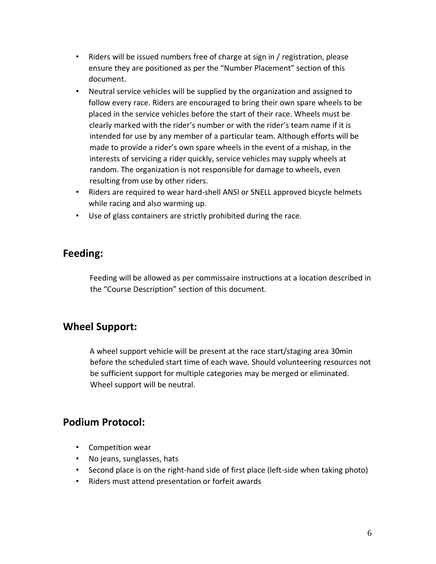- Riders will be issued numbers free of charge at sign in / registration, please ensure they are positioned as per the "Number Placement" section of this document.
- Neutral service vehicles will be supplied by the organization and assigned to follow every race. Riders are encouraged to bring their own spare wheels to be placed in the service vehicles before the start of their race. Wheels must be clearly marked with the rider's number or with the rider's team name if it is intended for use by any member of a particular team. Although efforts will be made to provide a rider's own spare wheels in the event of a mishap, in the interests of servicing a rider quickly, service vehicles may supply wheels at random. The organization is not responsible for damage to wheels, even resulting from use by other riders.
- Riders are required to wear hard-shell ANSI or SNELL approved bicycle helmets while racing and also warming up.
- Use of glass containers are strictly prohibited during the race.

### <span id="page-5-0"></span>**Feeding:**

Feeding will be allowed as per commissaire instructions at a location described in the "Course Description" section of this document.

# <span id="page-5-1"></span>**Wheel Support:**

A wheel support vehicle will be present at the race start/staging area 30min before the scheduled start time of each wave. Should volunteering resources not be sufficient support for multiple categories may be merged or eliminated. Wheel support will be neutral.

# <span id="page-5-2"></span>**Podium Protocol:**

- Competition wear
- No jeans, sunglasses, hats
- Second place is on the right-hand side of first place (left-side when taking photo)
- Riders must attend presentation or forfeit awards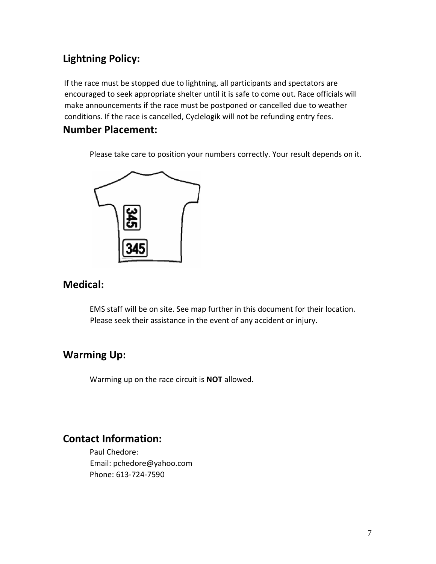# <span id="page-6-0"></span>**Lightning Policy:**

If the race must be stopped due to lightning, all participants and spectators are encouraged to seek appropriate shelter until it is safe to come out. Race officials will make announcements if the race must be postponed or cancelled due to weather conditions. If the race is cancelled, Cyclelogik will not be refunding entry fees.

### <span id="page-6-1"></span>**Number Placement:**

Please take care to position your numbers correctly. Your result depends on it.



### <span id="page-6-2"></span>**Medical:**

EMS staff will be on site. See map further in this document for their location. Please seek their assistance in the event of any accident or injury.

# <span id="page-6-3"></span>**Warming Up:**

Warming up on the race circuit is **NOT** allowed.

# <span id="page-6-4"></span>**Contact Information:**

Paul Chedore: Email: pchedore@yahoo.com Phone: 613-724-7590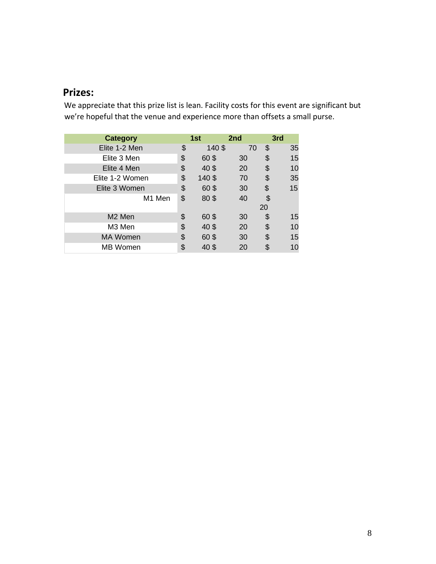# <span id="page-7-0"></span>**Prizes:**

We appreciate that this prize list is lean. Facility costs for this event are significant but we're hopeful that the venue and experience more than offsets a small purse.

| <b>Category</b>    | 1st         | 2nd |    | 3rd |
|--------------------|-------------|-----|----|-----|
| Elite 1-2 Men      | \$<br>140\$ | 70  | \$ | 35  |
| Elite 3 Men        | \$<br>60\$  | 30  | \$ | 15  |
| Elite 4 Men        | \$<br>40\$  | 20  | \$ | 10  |
| Elite 1-2 Women    | \$<br>140\$ | 70  | \$ | 35  |
| Elite 3 Women      | \$<br>60\$  | 30  | \$ | 15  |
| M1 Men             | \$<br>80\$  | 40  | \$ |     |
|                    |             |     | 20 |     |
| M <sub>2</sub> Men | \$<br>60\$  | 30  | \$ | 15  |
| M3 Men             | \$<br>40\$  | 20  | \$ | 10  |
| <b>MA Women</b>    | \$<br>60\$  | 30  | \$ | 15  |
| <b>MB</b> Women    | \$<br>40 \$ | 20  | \$ | 10  |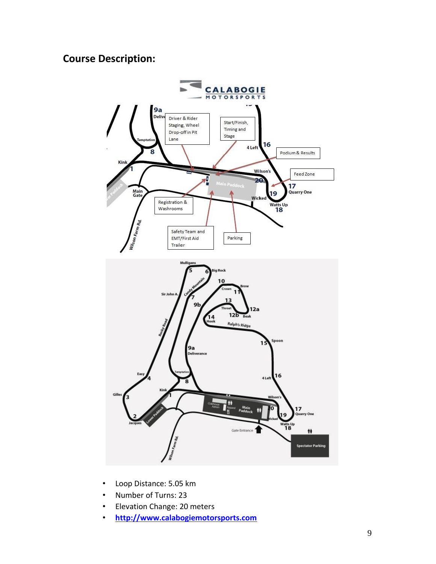# <span id="page-8-0"></span>**Course Description:**



- Loop Distance: 5.05 km
- Number of Turns: 23
- Elevation Change: 20 meters
- **http://www.calabogiemotorsports.com**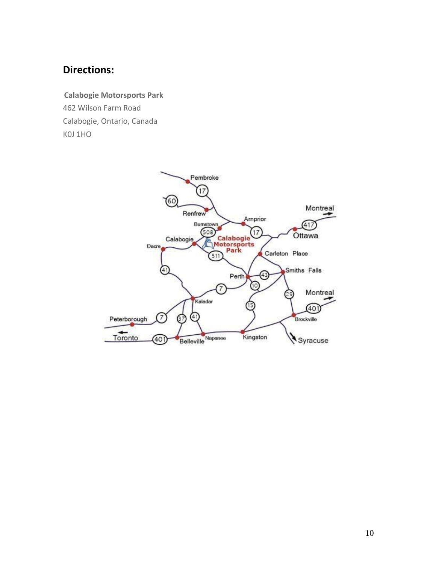# <span id="page-9-0"></span>**Directions:**

# **Calabogie Motorsports Park**

462 Wilson Farm Road Calabogie, Ontario, Canada K0J 1HO

<span id="page-9-1"></span>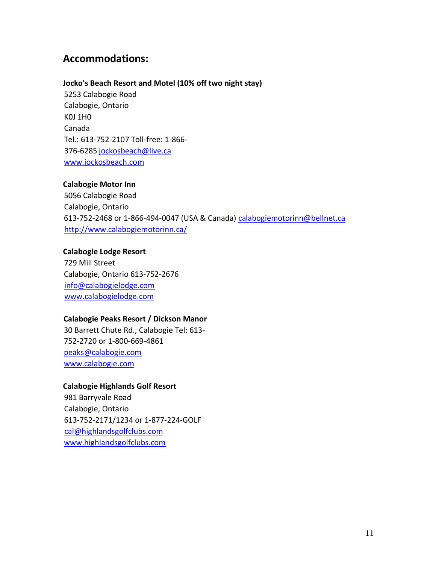### **Accommodations:**

#### **Jocko's Beach Resort and Motel (10% off two night stay)**

5253 Calabogie Road Calabogie, Ontario K0J 1H0 Canada Tel.: 613-752-2107 Toll-free: 1-866- 376-6285 jockosbeach@live.ca www.jockosbeach.com

#### **Calabogie Motor Inn**

5056 Calabogie Road Calabogie, Ontario 613-752-2468 or 1-866-494-0047 (USA & Canada) calabogiemotorinn@bellnet.ca http://www.calabogiemotorinn.ca/

#### **Calabogie Lodge Resort**

729 Mill Street Calabogie, Ontario 613-752-2676 info@calabogielodge.com www.calabogielodge.com

#### **Calabogie Peaks Resort / Dickson Manor**

30 Barrett Chute Rd., Calabogie Tel: 613- 752-2720 or 1-800-669-4861 peaks@calabogie.com www.calabogie.com

#### **Calabogie Highlands Golf Resort**

<span id="page-10-0"></span>981 Barryvale Road Calabogie, Ontario 613-752-2171/1234 or 1-877-224-GOLF cal@highlandsgolfclubs.com www.highlandsgolfclubs.com